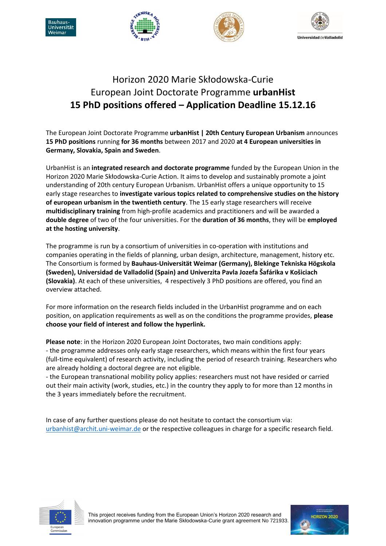







## Horizon 2020 Marie Skłodowska-Curie European Joint Doctorate Programme **urbanHist 15 PhD positions offered – Application Deadline 15.12.16**

The European Joint Doctorate Programme **urbanHist | 20th Century European Urbanism** announces **15 PhD positions** running **for 36 months** between 2017 and 2020 **at 4 European universities in Germany, Slovakia, Spain and Sweden**.

UrbanHist is an **integrated research and doctorate programme** funded by the European Union in the Horizon 2020 Marie Skłodowska-Curie Action. It aims to develop and sustainably promote a joint understanding of 20th century European Urbanism. UrbanHist offers a unique opportunity to 15 early stage researches to **investigate various topics related to comprehensive studies on the history of european urbanism in the twentieth century**. The 15 early stage researchers will receive **multidisciplinary training** from high-profile academics and practitioners and will be awarded a **double degree** of two of the four universities. For the **duration of 36 months**, they will be **employed at the hosting university**.

The programme is run by a consortium of universities in co-operation with institutions and companies operating in the fields of planning, urban design, architecture, management, history etc. The Consortium is formed by **Bauhaus-Universität Weimar (Germany), Blekinge Tekniska Högskola (Sweden), Universidad de Valladolid (Spain) and Univerzita Pavla Jozefa Šafárika v Košiciach (Slovakia)**. At each of these universities, 4 respectively 3 PhD positions are offered, you find an overview attached.

For more information on the research fields included in the UrbanHist programme and on each position, on application requirements as well as on the conditions the programme provides, **please choose your field of interest and follow the hyperlink.**

**Please note**: in the Horizon 2020 European Joint Doctorates, two main conditions apply: - the programme addresses only early stage researchers, which means within the first four years (full-time equivalent) of research activity, including the period of research training. Researchers who are already holding a doctoral degree are not eligible.

- the European transnational mobility policy applies: researchers must not have resided or carried out their main activity (work, studies, etc.) in the country they apply to for more than 12 months in the 3 years immediately before the recruitment.

In case of any further questions please do not hesitate to contact the consortium via: [urbanhist@archit.uni-weimar.de](mailto:urbanhist@archit.uni-weimar.de) or the respective colleagues in charge for a specific research field.